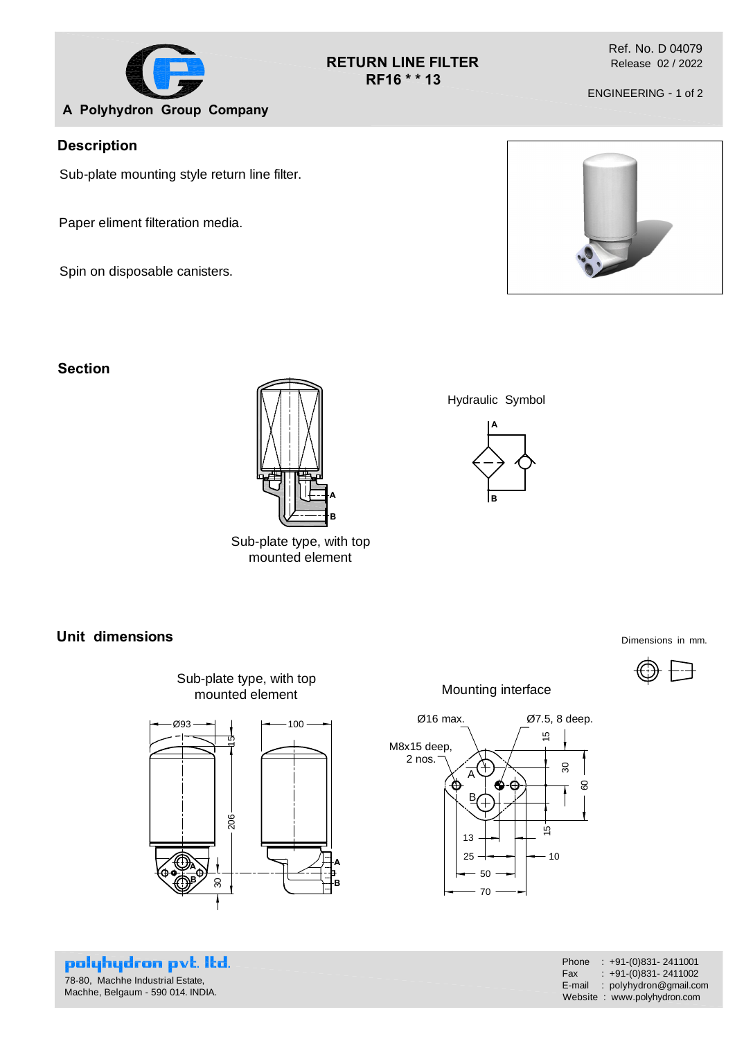

### **RETURN LINE FILTER RF16 \* \* 13**

Ref. No. D 04079 Release 02 / 2022

ENGINEERING - 1 of 2

## **Description**

Sub-plate mounting style return line filter.

Paper eliment filteration media.

Spin on disposable canisters.

### **Section**



Sub-plate type, with top mounted element

**Unit dimensions** Dimensions in mm.



polyhydron pvt. Itd. 78-80, Machhe Industrial Estate, Machhe, Belgaum - 590 014. INDIA.

Mounting interface



Phone : +91-(0)831- 2411001 Fax :  $+91-(0)831-2411002$ E-mail : polyhydron@gmail.com Website : www.polyhydron.com



Hydraulic Symbol